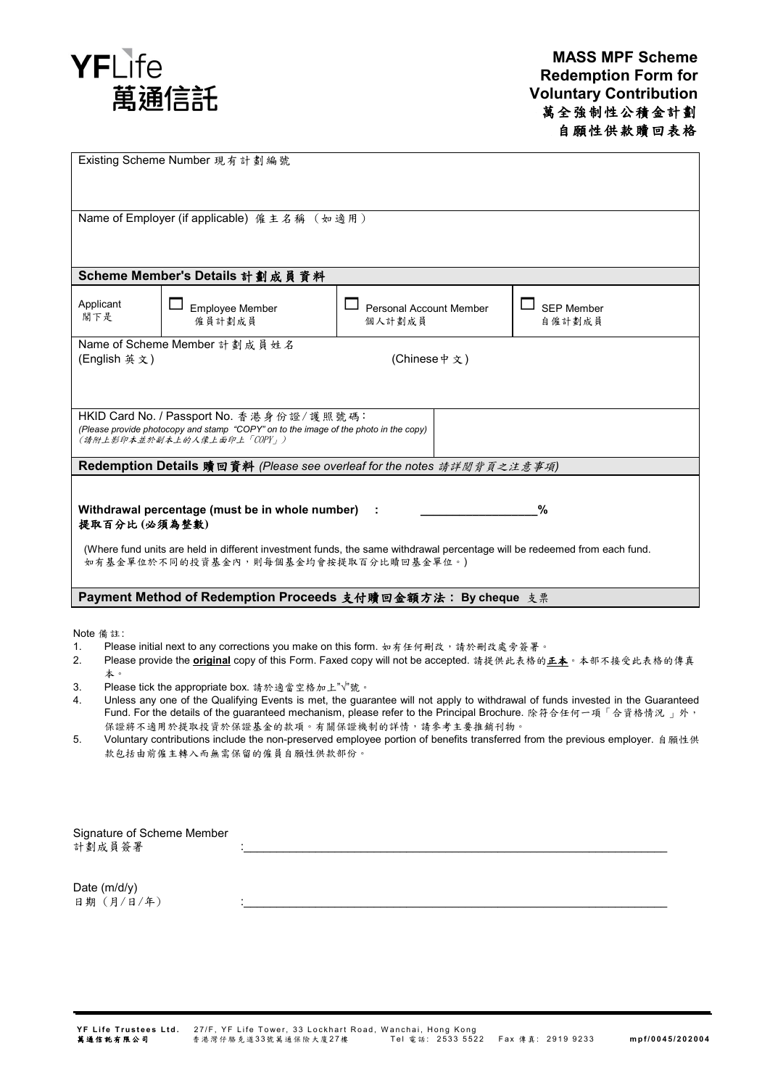

| Existing Scheme Number 現有計劃編號                                                                                                                                                                                                                                                                                                                                                                                                                                                                                                                                                                                                                                                                                                                              |                           |                                   |                             |
|------------------------------------------------------------------------------------------------------------------------------------------------------------------------------------------------------------------------------------------------------------------------------------------------------------------------------------------------------------------------------------------------------------------------------------------------------------------------------------------------------------------------------------------------------------------------------------------------------------------------------------------------------------------------------------------------------------------------------------------------------------|---------------------------|-----------------------------------|-----------------------------|
| Name of Employer (if applicable) 僱主名稱 (如適用)                                                                                                                                                                                                                                                                                                                                                                                                                                                                                                                                                                                                                                                                                                                |                           |                                   |                             |
| Scheme Member's Details 計劃成員資料                                                                                                                                                                                                                                                                                                                                                                                                                                                                                                                                                                                                                                                                                                                             |                           |                                   |                             |
| Applicant<br>閣下是                                                                                                                                                                                                                                                                                                                                                                                                                                                                                                                                                                                                                                                                                                                                           | Employee Member<br>僱員計劃成員 | Personal Account Member<br>個人計劃成員 | <b>SEP Member</b><br>自僱計劃成員 |
| Name of Scheme Member 計劃成員姓名<br>(Chinese 中文)<br>(English 英文)                                                                                                                                                                                                                                                                                                                                                                                                                                                                                                                                                                                                                                                                                               |                           |                                   |                             |
| HKID Card No. / Passport No. 香港身份證/護照號碼:<br>(Please provide photocopy and stamp "COPY" on to the image of the photo in the copy)<br>(請附上影印本並於副本上的人像上面印上「COPY」)                                                                                                                                                                                                                                                                                                                                                                                                                                                                                                                                                                                             |                           |                                   |                             |
| Redemption Details 贖回資料 (Please see overleaf for the notes 請詳閱背頁之注意事項)                                                                                                                                                                                                                                                                                                                                                                                                                                                                                                                                                                                                                                                                                     |                           |                                   |                             |
| %<br>Withdrawal percentage (must be in whole number) :<br>提取百分比(必須為整數)<br>(Where fund units are held in different investment funds, the same withdrawal percentage will be redeemed from each fund.<br>如有基金單位於不同的投資基金內,則每個基金均會按提取百分比贖回基金單位。)                                                                                                                                                                                                                                                                                                                                                                                                                                                                                                               |                           |                                   |                             |
| Payment Method of Redemption Proceeds 支付贖回金額方法: By cheque 支票                                                                                                                                                                                                                                                                                                                                                                                                                                                                                                                                                                                                                                                                                               |                           |                                   |                             |
| Note 備註:<br>Please initial next to any corrections you make on this form. 如有任何刪改,請於刪改處旁簽署。<br>1.<br>Please provide the <b>original</b> copy of this Form. Faxed copy will not be accepted. 請提供此表格的正本。本部不接受此表格的傳真<br>2.<br>本。<br>Please tick the appropriate box. 請於適當空格加上"√"號。<br>3.<br>Unless any one of the Qualifying Events is met, the guarantee will not apply to withdrawal of funds invested in the Guaranteed<br>4.<br>Fund. For the details of the guaranteed mechanism, please refer to the Principal Brochure. 除符合任何一項「合資格情況 」外,<br>保證將不適用於提取投資於保證基金的款項。有關保證機制的詳情,請參考主要推銷刊物。<br>5.<br>Voluntary contributions include the non-preserved employee portion of benefits transferred from the previous employer. 自願性供<br>款包括由前僱主轉入而無需保留的僱員自願性供款部份。 |                           |                                   |                             |
| Signature of Scheme Member                                                                                                                                                                                                                                                                                                                                                                                                                                                                                                                                                                                                                                                                                                                                 |                           |                                   |                             |

計劃成員簽署

Date (m/d/y) 日期 (月/日/年)